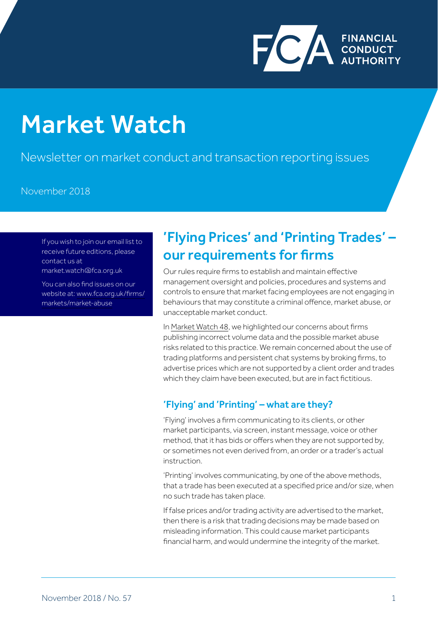

# FCA regulated fees and levies Market Watch

Newsletter on market conduct and transaction reporting issues

#### November 2018

If you wish to join our email list to receive future editions, please contact us at market.watch@fca.org.uk

You can also find issues on our website at: www.fca.org.uk/firms/ markets/market-abuse

## 'Flying Prices' and 'Printing Trades' – our requirements for firms

Our rules require firms to establish and maintain effective management oversight and policies, procedures and systems and controls to ensure that market facing employees are not engaging in behaviours that may constitute a criminal offence, market abuse, or unacceptable market conduct.

In [Market Watch 48,](https://www.fca.org.uk/publication/newsletters/market-watch-48.pdf) we highlighted our concerns about firms publishing incorrect volume data and the possible market abuse risks related to this practice. We remain concerned about the use of trading platforms and persistent chat systems by broking firms, to advertise prices which are not supported by a client order and trades which they claim have been executed, but are in fact fictitious.

### 'Flying' and 'Printing' – what are they?

'Flying' involves a firm communicating to its clients, or other market participants, via screen, instant message, voice or other method, that it has bids or offers when they are not supported by, or sometimes not even derived from, an order or a trader's actual instruction.

'Printing' involves communicating, by one of the above methods, that a trade has been executed at a specified price and/or size, when no such trade has taken place.

If false prices and/or trading activity are advertised to the market, then there is a risk that trading decisions may be made based on misleading information. This could cause market participants financial harm, and would undermine the integrity of the market.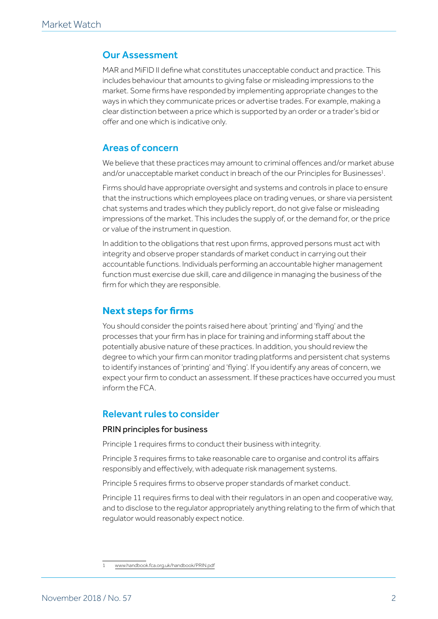#### Our Assessment

MAR and MiFID II define what constitutes unacceptable conduct and practice. This includes behaviour that amounts to giving false or misleading impressions to the market. Some firms have responded by implementing appropriate changes to the ways in which they communicate prices or advertise trades. For example, making a clear distinction between a price which is supported by an order or a trader's bid or offer and one which is indicative only.

#### Areas of concern

We believe that these practices may amount to criminal offences and/or market abuse and/or unacceptable market conduct in breach of the our Principles for Businesses $^{\text{1}}$ .

Firms should have appropriate oversight and systems and controls in place to ensure that the instructions which employees place on trading venues, or share via persistent chat systems and trades which they publicly report, do not give false or misleading impressions of the market. This includes the supply of, or the demand for, or the price or value of the instrument in question.

In addition to the obligations that rest upon firms, approved persons must act with integrity and observe proper standards of market conduct in carrying out their accountable functions. Individuals performing an [accountable higher management](https://www.handbook.fca.org.uk/handbook/glossary/G3543a.html)  [function](https://www.handbook.fca.org.uk/handbook/glossary/G3543a.html) must exercise due skill, care and diligence in managing the business of the [firm](https://www.handbook.fca.org.uk/handbook/glossary/G430.html) for which they are responsible.

### **Next steps for firms**

You should consider the points raised here about 'printing' and 'flying' and the processes that your firm has in place for training and informing staff about the potentially abusive nature of these practices. In addition, you should review the degree to which your firm can monitor trading platforms and persistent chat systems to identify instances of 'printing' and 'flying'. If you identify any areas of concern, we expect your firm to conduct an assessment. If these practices have occurred you must inform the FCA.

#### Relevant rules to consider

#### PRIN principles for business

Principle 1 requires firms to conduct their business with integrity.

Principle 3 requires firms to take reasonable care to organise and control its affairs responsibly and effectively, with adequate risk management systems.

Principle 5 requires firms to observe proper standards of market conduct.

Principle 11 requires firms to deal with their regulators in an open and cooperative way, and to disclose to the regulator appropriately anything relating to the firm of which that regulator would reasonably expect notice.

<sup>1</sup> [www.handbook.fca.org.uk/handbook/PRIN.pdf](http://www.handbook.fca.org.uk/handbook/PRIN.pdf)